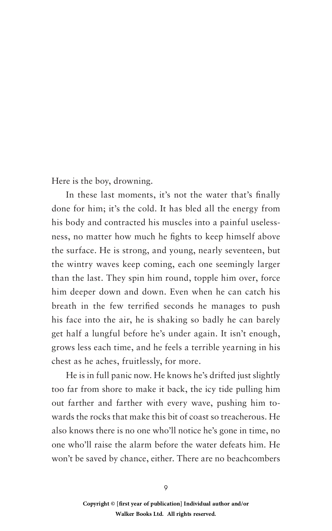Here is the boy, drowning.

In these last moments, it's not the water that's finally done for him; it's the cold. It has bled all the energy from his body and contracted his muscles into a painful uselessness, no matter how much he fights to keep himself above the surface. He is strong, and young, nearly seventeen, but the wintry waves keep coming, each one seemingly larger than the last. They spin him round, topple him over, force him deeper down and down. Even when he can catch his breath in the few terrified seconds he manages to push his face into the air, he is shaking so badly he can barely get half a lungful before he's under again. It isn't enough, grows less each time, and he feels a terrible yearning in his chest as he aches, fruitlessly, for more.

He is in full panic now. He knows he's drifted just slightly too far from shore to make it back, the icy tide pulling him out farther and farther with every wave, pushing him towards the rocks that make this bit of coast so treacherous. He also knows there is no one who'll notice he's gone in time, no one who'll raise the alarm before the water defeats him. He won't be saved by chance, either. There are no beachcombers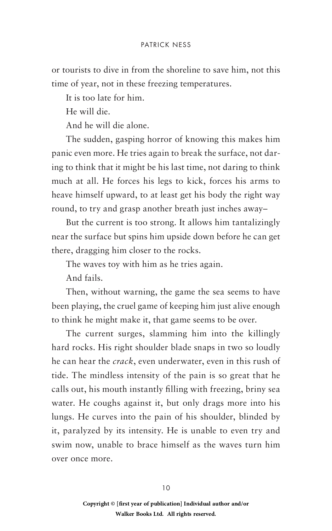## patrick ness

or tourists to dive in from the shoreline to save him, not this time of year, not in these freezing temperatures.

It is too late for him.

He will die.

And he will die alone.

The sudden, gasping horror of knowing this makes him panic even more. He tries again to break the surface, not daring to think that it might be his last time, not daring to think much at all. He forces his legs to kick, forces his arms to heave himself upward, to at least get his body the right way round, to try and grasp another breath just inches away–

But the current is too strong. It allows him tantalizingly near the surface but spins him upside down before he can get there, dragging him closer to the rocks.

The waves toy with him as he tries again.

And fails.

Then, without warning, the game the sea seems to have been playing, the cruel game of keeping him just alive enough to think he might make it, that game seems to be over.

The current surges, slamming him into the killingly hard rocks. His right shoulder blade snaps in two so loudly he can hear the *crack*, even underwater, even in this rush of tide. The mindless intensity of the pain is so great that he calls out, his mouth instantly filling with freezing, briny sea water. He coughs against it, but only drags more into his lungs. He curves into the pain of his shoulder, blinded by it, paralyzed by its intensity. He is unable to even try and swim now, unable to brace himself as the waves turn him over once more.